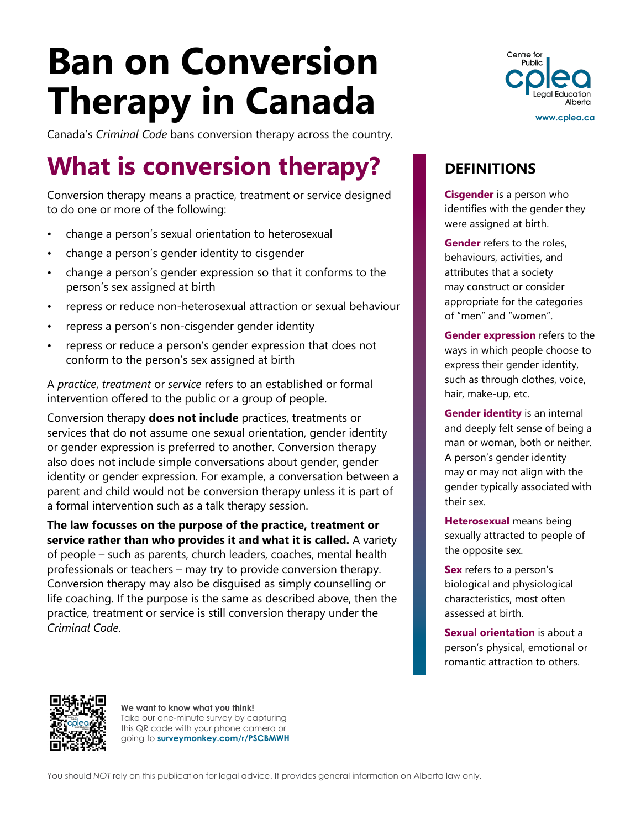# **Ban on Conversion Therapy in Canada**

Canada's *Criminal Code* bans conversion therapy across the country.

## **What is conversion therapy?**

Conversion therapy means a practice, treatment or service designed to do one or more of the following:

- change a person's sexual orientation to heterosexual
- change a person's gender identity to cisgender
- change a person's gender expression so that it conforms to the person's sex assigned at birth
- repress or reduce non-heterosexual attraction or sexual behaviour
- repress a person's non-cisgender gender identity
- repress or reduce a person's gender expression that does not conform to the person's sex assigned at birth

A *practice*, *treatment* or *service* refers to an established or formal intervention offered to the public or a group of people.

Conversion therapy **does not include** practices, treatments or services that do not assume one sexual orientation, gender identity or gender expression is preferred to another. Conversion therapy also does not include simple conversations about gender, gender identity or gender expression. For example, a conversation between a parent and child would not be conversion therapy unless it is part of a formal intervention such as a talk therapy session.

**The law focusses on the purpose of the practice, treatment or service rather than who provides it and what it is called.** A variety of people – such as parents, church leaders, coaches, mental health professionals or teachers – may try to provide conversion therapy. Conversion therapy may also be disguised as simply counselling or life coaching. If the purpose is the same as described above, then the practice, treatment or service is still conversion therapy under the *Criminal Code*.



#### **DEFINITIONS**

**Cisgender** is a person who identifies with the gender they were assigned at birth.

**Gender** refers to the roles, behaviours, activities, and attributes that a society may construct or consider appropriate for the categories of "men" and "women".

**Gender expression** refers to the ways in which people choose to express their gender identity, such as through clothes, voice, hair, make-up, etc.

**Gender identity** is an internal and deeply felt sense of being a man or woman, both or neither. A person's gender identity may or may not align with the gender typically associated with their sex.

**Heterosexual** means being sexually attracted to people of the opposite sex.

**Sex** refers to a person's biological and physiological characteristics, most often assessed at birth.

**Sexual orientation** is about a person's physical, emotional or romantic attraction to others.



**We want to know what you think!** Take our one-minute survey by capturing this QR code with your phone camera or going to **[surveymonkey.com/r/PSCBMWH](http://www.surveymonkey.com/r/PSCBMWH)**

You should *NOT* rely on this publication for legal advice. It provides general information on Alberta law only.